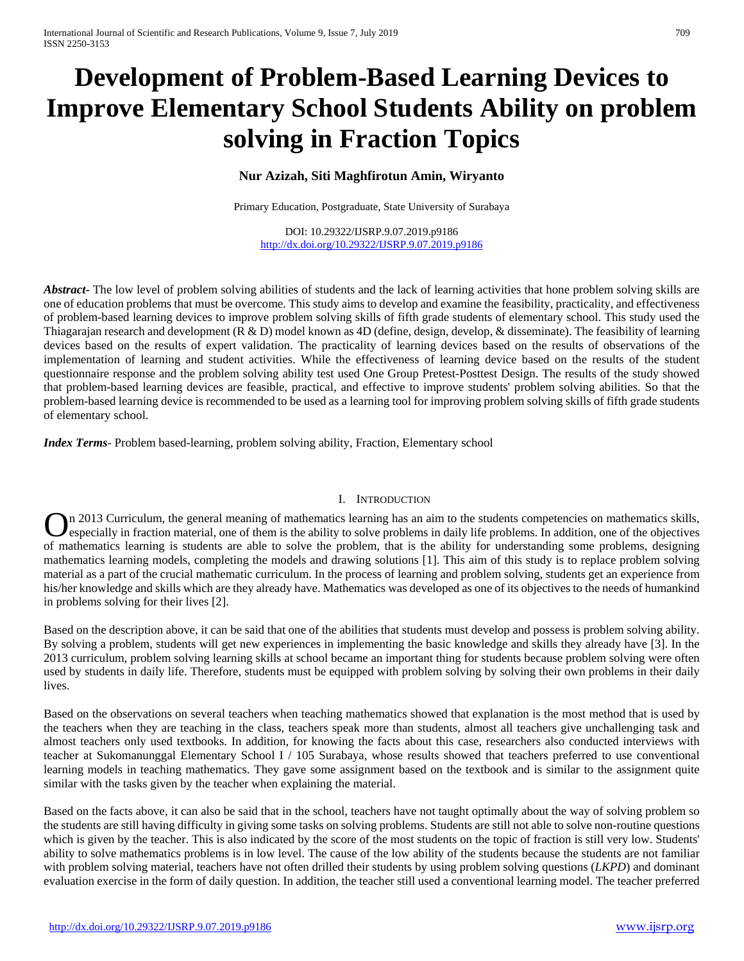# **Development of Problem-Based Learning Devices to Improve Elementary School Students Ability on problem solving in Fraction Topics**

## **Nur Azizah, Siti Maghfirotun Amin, Wiryanto**

Primary Education, Postgraduate, State University of Surabaya

DOI: 10.29322/IJSRP.9.07.2019.p9186 <http://dx.doi.org/10.29322/IJSRP.9.07.2019.p9186>

*Abstract* The low level of problem solving abilities of students and the lack of learning activities that hone problem solving skills are one of education problems that must be overcome. This study aims to develop and examine the feasibility, practicality, and effectiveness of problem-based learning devices to improve problem solving skills of fifth grade students of elementary school. This study used the Thiagarajan research and development  $(R & D)$  model known as  $4D$  (define, design, develop,  $\&$  disseminate). The feasibility of learning devices based on the results of expert validation. The practicality of learning devices based on the results of observations of the implementation of learning and student activities. While the effectiveness of learning device based on the results of the student questionnaire response and the problem solving ability test used One Group Pretest-Posttest Design. The results of the study showed that problem-based learning devices are feasible, practical, and effective to improve students' problem solving abilities. So that the problem-based learning device is recommended to be used as a learning tool for improving problem solving skills of fifth grade students of elementary school.

*Index Terms*- Problem based-learning, problem solving ability, Fraction, Elementary school

### I. INTRODUCTION

n 2013 Curriculum, the general meaning of mathematics learning has an aim to the students competencies on mathematics skills, especially in fraction material, one of them is the ability to solve problems in daily life problems. In addition, one of the objectives **On** 2013 Curriculum, the general meaning of mathematics learning has an aim to the students competencies on mathematics skills, especially in fraction material, one of them is the ability to solve problems in daily life p mathematics learning models, completing the models and drawing solutions [1]. This aim of this study is to replace problem solving material as a part of the crucial mathematic curriculum. In the process of learning and problem solving, students get an experience from his/her knowledge and skills which are they already have. Mathematics was developed as one of its objectives to the needs of humankind in problems solving for their lives [2].

Based on the description above, it can be said that one of the abilities that students must develop and possess is problem solving ability. By solving a problem, students will get new experiences in implementing the basic knowledge and skills they already have [3]. In the 2013 curriculum, problem solving learning skills at school became an important thing for students because problem solving were often used by students in daily life. Therefore, students must be equipped with problem solving by solving their own problems in their daily lives.

Based on the observations on several teachers when teaching mathematics showed that explanation is the most method that is used by the teachers when they are teaching in the class, teachers speak more than students, almost all teachers give unchallenging task and almost teachers only used textbooks. In addition, for knowing the facts about this case, researchers also conducted interviews with teacher at Sukomanunggal Elementary School I / 105 Surabaya, whose results showed that teachers preferred to use conventional learning models in teaching mathematics. They gave some assignment based on the textbook and is similar to the assignment quite similar with the tasks given by the teacher when explaining the material.

Based on the facts above, it can also be said that in the school, teachers have not taught optimally about the way of solving problem so the students are still having difficulty in giving some tasks on solving problems. Students are still not able to solve non-routine questions which is given by the teacher. This is also indicated by the score of the most students on the topic of fraction is still very low. Students' ability to solve mathematics problems is in low level. The cause of the low ability of the students because the students are not familiar with problem solving material, teachers have not often drilled their students by using problem solving questions (*LKPD*) and dominant evaluation exercise in the form of daily question. In addition, the teacher still used a conventional learning model. The teacher preferred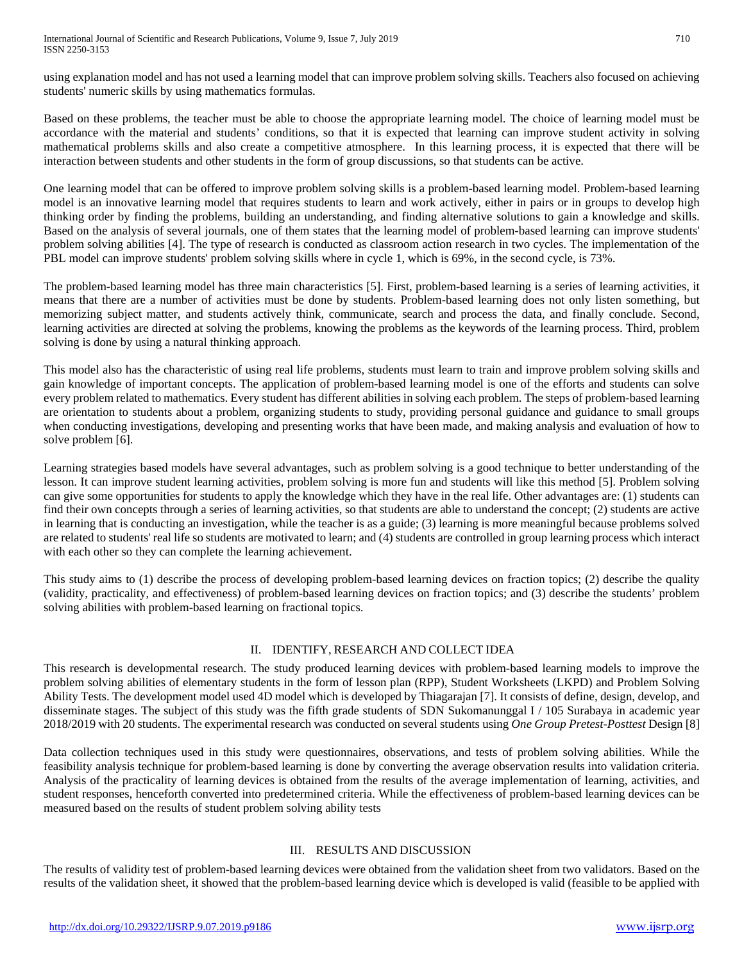using explanation model and has not used a learning model that can improve problem solving skills. Teachers also focused on achieving students' numeric skills by using mathematics formulas.

Based on these problems, the teacher must be able to choose the appropriate learning model. The choice of learning model must be accordance with the material and students' conditions, so that it is expected that learning can improve student activity in solving mathematical problems skills and also create a competitive atmosphere. In this learning process, it is expected that there will be interaction between students and other students in the form of group discussions, so that students can be active.

One learning model that can be offered to improve problem solving skills is a problem-based learning model. Problem-based learning model is an innovative learning model that requires students to learn and work actively, either in pairs or in groups to develop high thinking order by finding the problems, building an understanding, and finding alternative solutions to gain a knowledge and skills. Based on the analysis of several journals, one of them states that the learning model of problem-based learning can improve students' problem solving abilities [4]. The type of research is conducted as classroom action research in two cycles. The implementation of the PBL model can improve students' problem solving skills where in cycle 1, which is 69%, in the second cycle, is 73%.

The problem-based learning model has three main characteristics [5]. First, problem-based learning is a series of learning activities, it means that there are a number of activities must be done by students. Problem-based learning does not only listen something, but memorizing subject matter, and students actively think, communicate, search and process the data, and finally conclude. Second, learning activities are directed at solving the problems, knowing the problems as the keywords of the learning process. Third, problem solving is done by using a natural thinking approach.

This model also has the characteristic of using real life problems, students must learn to train and improve problem solving skills and gain knowledge of important concepts. The application of problem-based learning model is one of the efforts and students can solve every problem related to mathematics. Every student has different abilities in solving each problem. The steps of problem-based learning are orientation to students about a problem, organizing students to study, providing personal guidance and guidance to small groups when conducting investigations, developing and presenting works that have been made, and making analysis and evaluation of how to solve problem [6].

Learning strategies based models have several advantages, such as problem solving is a good technique to better understanding of the lesson. It can improve student learning activities, problem solving is more fun and students will like this method [5]. Problem solving can give some opportunities for students to apply the knowledge which they have in the real life. Other advantages are: (1) students can find their own concepts through a series of learning activities, so that students are able to understand the concept; (2) students are active in learning that is conducting an investigation, while the teacher is as a guide; (3) learning is more meaningful because problems solved are related to students' real life so students are motivated to learn; and (4) students are controlled in group learning process which interact with each other so they can complete the learning achievement.

This study aims to (1) describe the process of developing problem-based learning devices on fraction topics; (2) describe the quality (validity, practicality, and effectiveness) of problem-based learning devices on fraction topics; and (3) describe the students' problem solving abilities with problem-based learning on fractional topics.

## II. IDENTIFY, RESEARCH AND COLLECT IDEA

This research is developmental research. The study produced learning devices with problem-based learning models to improve the problem solving abilities of elementary students in the form of lesson plan (RPP), Student Worksheets (LKPD) and Problem Solving Ability Tests. The development model used 4D model which is developed by Thiagarajan [7]. It consists of define, design, develop, and disseminate stages. The subject of this study was the fifth grade students of SDN Sukomanunggal I / 105 Surabaya in academic year 2018/2019 with 20 students. The experimental research was conducted on several students using *One Group Pretest-Posttest* Design [8]

Data collection techniques used in this study were questionnaires, observations, and tests of problem solving abilities. While the feasibility analysis technique for problem-based learning is done by converting the average observation results into validation criteria. Analysis of the practicality of learning devices is obtained from the results of the average implementation of learning, activities, and student responses, henceforth converted into predetermined criteria. While the effectiveness of problem-based learning devices can be measured based on the results of student problem solving ability tests

## III. RESULTS AND DISCUSSION

The results of validity test of problem-based learning devices were obtained from the validation sheet from two validators. Based on the results of the validation sheet, it showed that the problem-based learning device which is developed is valid (feasible to be applied with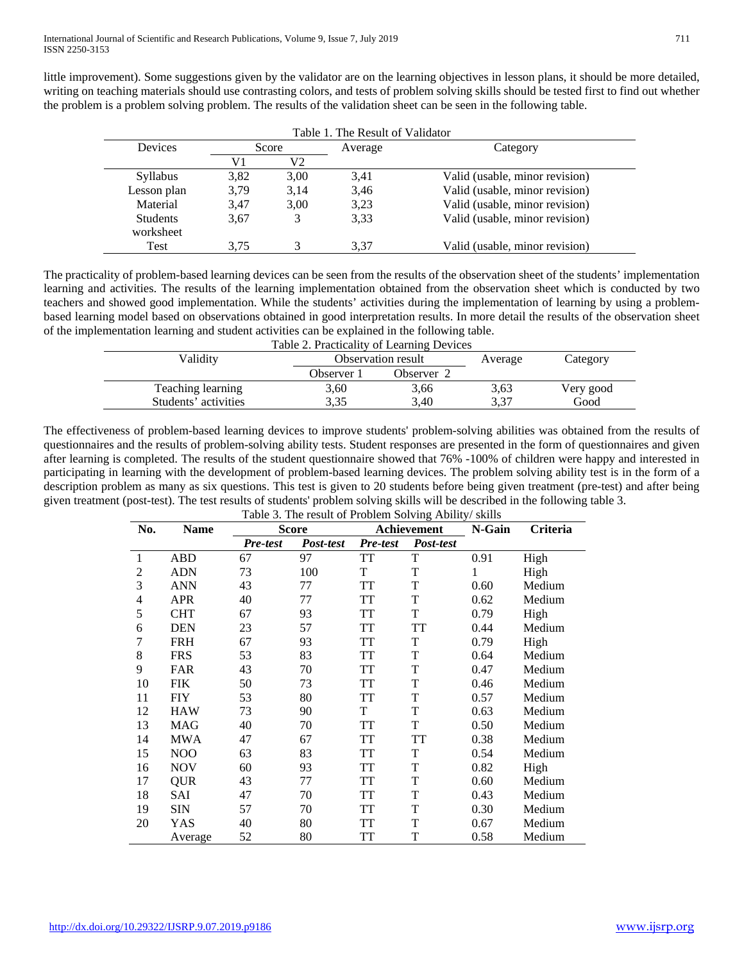little improvement). Some suggestions given by the validator are on the learning objectives in lesson plans, it should be more detailed, writing on teaching materials should use contrasting colors, and tests of problem solving skills should be tested first to find out whether the problem is a problem solving problem. The results of the validation sheet can be seen in the following table.

| Table 1. The Result of Validator |       |      |         |                                |  |  |  |  |  |  |
|----------------------------------|-------|------|---------|--------------------------------|--|--|--|--|--|--|
| Devices                          | Score |      | Average | Category                       |  |  |  |  |  |  |
|                                  | V1    | V2   |         |                                |  |  |  |  |  |  |
| <b>Syllabus</b>                  | 3,82  | 3.00 | 3,41    | Valid (usable, minor revision) |  |  |  |  |  |  |
| Lesson plan                      | 3.79  | 3.14 | 3.46    | Valid (usable, minor revision) |  |  |  |  |  |  |
| Material                         | 3,47  | 3,00 | 3,23    | Valid (usable, minor revision) |  |  |  |  |  |  |
| <b>Students</b><br>worksheet     | 3.67  |      | 3,33    | Valid (usable, minor revision) |  |  |  |  |  |  |
| Test                             | 3.75  |      | 3.37    | Valid (usable, minor revision) |  |  |  |  |  |  |

The practicality of problem-based learning devices can be seen from the results of the observation sheet of the students' implementation learning and activities. The results of the learning implementation obtained from the observation sheet which is conducted by two teachers and showed good implementation. While the students' activities during the implementation of learning by using a problembased learning model based on observations obtained in good interpretation results. In more detail the results of the observation sheet of the implementation learning and student activities can be explained in the following table.

| Table 2. Practicality of Learning Devices |                    |            |         |           |  |  |  |  |  |
|-------------------------------------------|--------------------|------------|---------|-----------|--|--|--|--|--|
| Validitv                                  | Observation result |            | Average | Category  |  |  |  |  |  |
|                                           | Observer 1         | Observer 2 |         |           |  |  |  |  |  |
| Teaching learning                         | 3,60               | 3,66       | 3,63    | Very good |  |  |  |  |  |
| Students' activities                      | 3.35               | 3.40       | 3.37    | Good      |  |  |  |  |  |

The effectiveness of problem-based learning devices to improve students' problem-solving abilities was obtained from the results of questionnaires and the results of problem-solving ability tests. Student responses are presented in the form of questionnaires and given after learning is completed. The results of the student questionnaire showed that 76% -100% of children were happy and interested in participating in learning with the development of problem-based learning devices. The problem solving ability test is in the form of a description problem as many as six questions. This test is given to 20 students before being given treatment (pre-test) and after being given treatment (post-test). The test results of students' problem solving skills will be described in the following table 3. Table 3. The result of Problem Solving Ability/ skills

| No. | <b>Name</b> | <b>Score</b> |           | Twore 5. The result of 1 rootent borving Atomly/ skins<br>Achievement |           | N-Gain | Criteria |
|-----|-------------|--------------|-----------|-----------------------------------------------------------------------|-----------|--------|----------|
|     |             | Pre-test     | Post-test | Pre-test                                                              | Post-test |        |          |
| 1   | <b>ABD</b>  | 67           | 97        | TT                                                                    | T         | 0.91   | High     |
| 2   | <b>ADN</b>  | 73           | 100       | T                                                                     | T         | 1      | High     |
| 3   | <b>ANN</b>  | 43           | 77        | TT                                                                    | T         | 0.60   | Medium   |
| 4   | <b>APR</b>  | 40           | 77        | TT                                                                    | T         | 0.62   | Medium   |
| 5   | <b>CHT</b>  | 67           | 93        | <b>TT</b>                                                             | T         | 0.79   | High     |
| 6   | <b>DEN</b>  | 23           | 57        | <b>TT</b>                                                             | <b>TT</b> | 0.44   | Medium   |
| 7   | <b>FRH</b>  | 67           | 93        | <b>TT</b>                                                             | T         | 0.79   | High     |
| 8   | <b>FRS</b>  | 53           | 83        | <b>TT</b>                                                             | T         | 0.64   | Medium   |
| 9   | <b>FAR</b>  | 43           | 70        | TT                                                                    | T         | 0.47   | Medium   |
| 10  | FIK         | 50           | 73        | <b>TT</b>                                                             | T         | 0.46   | Medium   |
| 11  | <b>FIY</b>  | 53           | 80        | TT                                                                    | T         | 0.57   | Medium   |
| 12  | <b>HAW</b>  | 73           | 90        | T                                                                     | T         | 0.63   | Medium   |
| 13  | <b>MAG</b>  | 40           | 70        | <b>TT</b>                                                             | T         | 0.50   | Medium   |
| 14  | <b>MWA</b>  | 47           | 67        | TT                                                                    | <b>TT</b> | 0.38   | Medium   |
| 15  | NOO         | 63           | 83        | <b>TT</b>                                                             | T         | 0.54   | Medium   |
| 16  | <b>NOV</b>  | 60           | 93        | TT                                                                    | T         | 0.82   | High     |
| 17  | <b>QUR</b>  | 43           | 77        | <b>TT</b>                                                             | T         | 0.60   | Medium   |
| 18  | SAI         | 47           | 70        | TT                                                                    | T         | 0.43   | Medium   |
| 19  | <b>SIN</b>  | 57           | 70        | TT                                                                    | T         | 0.30   | Medium   |
| 20  | YAS         | 40           | 80        | <b>TT</b>                                                             | T         | 0.67   | Medium   |
|     | Average     | 52           | 80        | TT                                                                    | T         | 0.58   | Medium   |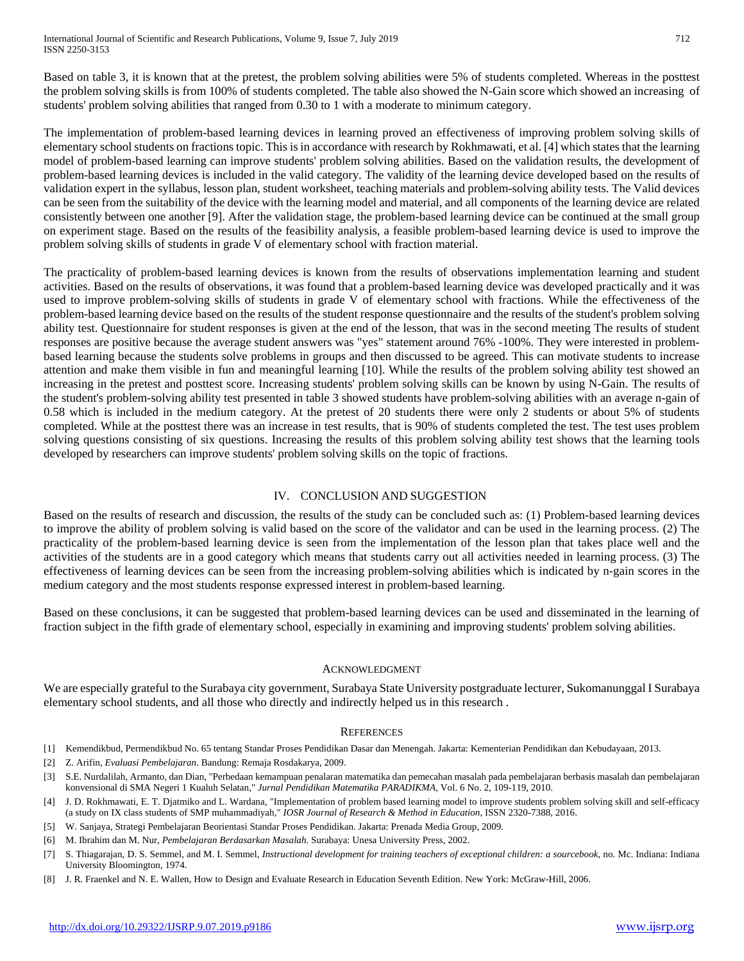Based on table 3, it is known that at the pretest, the problem solving abilities were 5% of students completed. Whereas in the posttest the problem solving skills is from 100% of students completed. The table also showed the N-Gain score which showed an increasing of students' problem solving abilities that ranged from 0.30 to 1 with a moderate to minimum category.

The implementation of problem-based learning devices in learning proved an effectiveness of improving problem solving skills of elementary school students on fractions topic. This is in accordance with research by Rokhmawati, et al. [4] which states that the learning model of problem-based learning can improve students' problem solving abilities. Based on the validation results, the development of problem-based learning devices is included in the valid category. The validity of the learning device developed based on the results of validation expert in the syllabus, lesson plan, student worksheet, teaching materials and problem-solving ability tests. The Valid devices can be seen from the suitability of the device with the learning model and material, and all components of the learning device are related consistently between one another [9]. After the validation stage, the problem-based learning device can be continued at the small group on experiment stage. Based on the results of the feasibility analysis, a feasible problem-based learning device is used to improve the problem solving skills of students in grade V of elementary school with fraction material.

The practicality of problem-based learning devices is known from the results of observations implementation learning and student activities. Based on the results of observations, it was found that a problem-based learning device was developed practically and it was used to improve problem-solving skills of students in grade V of elementary school with fractions. While the effectiveness of the problem-based learning device based on the results of the student response questionnaire and the results of the student's problem solving ability test. Questionnaire for student responses is given at the end of the lesson, that was in the second meeting The results of student responses are positive because the average student answers was "yes" statement around 76% -100%. They were interested in problembased learning because the students solve problems in groups and then discussed to be agreed. This can motivate students to increase attention and make them visible in fun and meaningful learning [10]. While the results of the problem solving ability test showed an increasing in the pretest and posttest score. Increasing students' problem solving skills can be known by using N-Gain. The results of the student's problem-solving ability test presented in table 3 showed students have problem-solving abilities with an average n-gain of 0.58 which is included in the medium category. At the pretest of 20 students there were only 2 students or about 5% of students completed. While at the posttest there was an increase in test results, that is 90% of students completed the test. The test uses problem solving questions consisting of six questions. Increasing the results of this problem solving ability test shows that the learning tools developed by researchers can improve students' problem solving skills on the topic of fractions.

## IV. CONCLUSION AND SUGGESTION

Based on the results of research and discussion, the results of the study can be concluded such as: (1) Problem-based learning devices to improve the ability of problem solving is valid based on the score of the validator and can be used in the learning process. (2) The practicality of the problem-based learning device is seen from the implementation of the lesson plan that takes place well and the activities of the students are in a good category which means that students carry out all activities needed in learning process. (3) The effectiveness of learning devices can be seen from the increasing problem-solving abilities which is indicated by n-gain scores in the medium category and the most students response expressed interest in problem-based learning.

Based on these conclusions, it can be suggested that problem-based learning devices can be used and disseminated in the learning of fraction subject in the fifth grade of elementary school, especially in examining and improving students' problem solving abilities.

### ACKNOWLEDGMENT

We are especially grateful to the Surabaya city government, Surabaya State University postgraduate lecturer, Sukomanunggal I Surabaya elementary school students, and all those who directly and indirectly helped us in this research .

### **REFERENCES**

- [1] Kemendikbud, Permendikbud No. 65 tentang Standar Proses Pendidikan Dasar dan Menengah. Jakarta: Kementerian Pendidikan dan Kebudayaan, 2013.
- [2] Z. Arifin, *Evaluasi Pembelajaran.* Bandung: Remaja Rosdakarya, 2009.
- [3] S.E. Nurdalilah, Armanto, dan Dian, "Perbedaan kemampuan penalaran matematika dan pemecahan masalah pada pembelajaran berbasis masalah dan pembelajaran konvensional di SMA Negeri 1 Kualuh Selatan," *Jurnal Pendidikan Matematika PARADIKMA,* Vol. 6 No. 2, 109-119, 2010.
- [4] J. D. Rokhmawati, E. T. Djatmiko and L. Wardana, "Implementation of problem based learning model to improve students problem solving skill and self-efficacy (a study on IX class students of SMP muhammadiyah," *IOSR Journal of Research & Method in Education,* ISSN 2320-7388, 2016.
- [5] W. Sanjaya, Strategi Pembelajaran Beorientasi Standar Proses Pendidikan. Jakarta: Prenada Media Group, 2009.
- [6] M. Ibrahim dan M. Nur, *Pembelajaran Berdasarkan Masalah.* Surabaya: Unesa University Press, 2002.
- [7] S. Thiagarajan, D. S. Semmel, and M. I. Semmel, *Instructional development for training teachers of exceptional children: a sourcebook*, no. Mc. Indiana: Indiana University Bloomington, 1974.
- [8] J. R. Fraenkel and N. E. Wallen, How to Design and Evaluate Research in Education Seventh Edition. New York: McGraw-Hill, 2006.